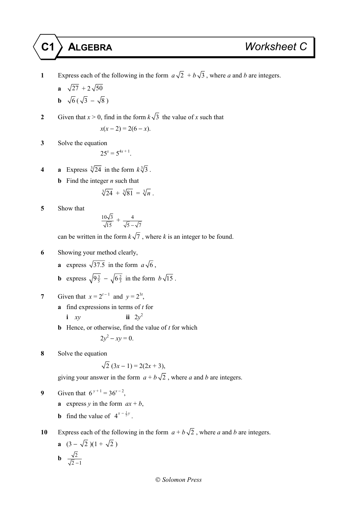- **1** Express each of the following in the form  $a\sqrt{2} + b\sqrt{3}$ , where *a* and *b* are integers.
	- **a**  $\sqrt{27} + 2\sqrt{50}$

$$
\mathbf{b} \sqrt{6} \left( \sqrt{3} - \sqrt{8} \right)
$$

- **2** Given that  $x > 0$ , find in the form  $k\sqrt{3}$  the value of *x* such that  $x(x-2) = 2(6-x)$ .
- **3** Solve the equation

$$
25^x = 5^{4x+1}.
$$

- **4 a** Express  $\sqrt[3]{24}$  in the form  $k\sqrt[3]{3}$ .
	- **b** Find the integer *n* such that

$$
\sqrt[3]{24} + \sqrt[3]{81} = \sqrt[3]{n} \ .
$$

**5** Show that

$$
\frac{10\sqrt{3}}{\sqrt{15}} + \frac{4}{\sqrt{5}-\sqrt{7}}
$$

can be written in the form  $k\sqrt{7}$ , where *k* is an integer to be found.

- **6** Showing your method clearly,
	- **a** express  $\sqrt{37.5}$  in the form  $a\sqrt{6}$ ,
	- **b** express  $\sqrt{9^{\frac{3}{5}}} \sqrt{6^{\frac{2}{3}}}$  in the form  $b\sqrt{15}$ .
- **7** Given that  $x = 2^{t-1}$  and  $y = 2^{3t}$ ,
	- **a** find expressions in terms of *t* for
		- $i$   $xy$ ii  $2v^2$
	- **b** Hence, or otherwise, find the value of *t* for which

$$
2y^2 - xy = 0.
$$

**8** Solve the equation

$$
\sqrt{2}(3x-1) = 2(2x+3),
$$

giving your answer in the form  $a + b\sqrt{2}$ , where *a* and *b* are integers.

9 Given that 
$$
6^{y+1} = 36^{x-2}
$$
,

- **a** express *y* in the form  $ax + b$ ,
- **b** find the value of  $4^{x \frac{1}{2}y}$ .

**10** Express each of the following in the form  $a + b\sqrt{2}$ , where *a* and *b* are integers.

**a** 
$$
(3 - \sqrt{2})(1 + \sqrt{2})
$$

$$
\mathbf{b} \quad \frac{\sqrt{2}}{\sqrt{2}-1}
$$